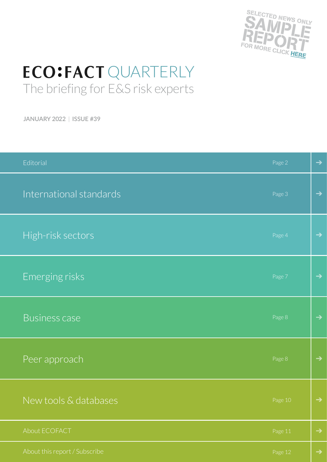

## **ECO:FACT QUARTERLY** The briefing for E&S risk experts

**JANUARY 2022** | **ISSUE #39**

| Editorial                     | Page 2  | $\rightarrow$ |
|-------------------------------|---------|---------------|
| International standards       | Page 3  | $\rightarrow$ |
| High-risk sectors             | Page 4  | $\rightarrow$ |
| Emerging risks                | Page 7  | $\rightarrow$ |
| <b>Business case</b>          | Page 8  | $\rightarrow$ |
| Peer approach                 | Page 8  | $\rightarrow$ |
| New tools & databases         | Page 10 | $\rightarrow$ |
| About ECOFACT                 | Page 11 | $\rightarrow$ |
| About this report / Subscribe | Page 12 | $\rightarrow$ |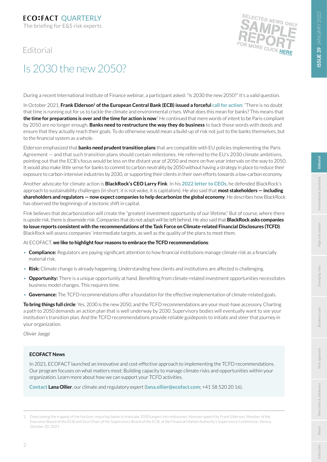## <span id="page-1-0"></span>Editorial



## Is 2030 the new 2050?

During a recent International Institute of Finance webinar, a participant asked: "Is 2030 the new 2050?" It's a valid question.

In October 2021, Frank Elderson<sup>1</sup> of the European Central Bank (ECB) issued a forceful [call for action](https://www.ecb.europa.eu/press/key/date/2021/html/ecb.sp211020~03fba70983.en.html): "There is no doubt that time is running out for us to tackle the climate and environmental crises. What does this mean for banks? This means that **the time for preparations is over and the time for action is now**." He continued that mere words of intent to be Paris-compliant by 2050 are no longer enough. **Banks need to restructure the way they do business** to back those words with deeds and ensure that they actually reach their goals. To do otherwise would mean a build-up of risk not just to the banks themselves, but to the financial system as a whole.

Elderson emphasized that **banks need prudent transition plans** that are compatible with EU policies implementing the Paris Agreement — and that such transition plans should contain milestones. He referred to the EU's 2030 climate ambitions, pointing out that the ECB's focus would be less on the distant year of 2050 and more on five-year intervals on the way to 2050. It would also make little sense for banks to commit to carbon neutrality by 2050 without having a strategy in place to reduce their exposure to carbon-intensive industries by 2030, or supporting their clients in their own efforts towards a low-carbon economy.

Another advocate for climate action is **BlackRock's CEO Larry Fink**. In his **[2022 letter to CEOs](https://www.blackrock.com/corporate/investor-relations/larry-fink-ceo-letter)**, he defended BlackRock's approach to sustainability challenges (in short: it is not woke, it is capitalism). He also said that **most stakeholders — including shareholders and regulators — now expect companies to help decarbonize the global economy**. He describes how BlackRock has observed the beginnings of a tectonic shift in capital.

Fink believes that decarbonization will create the "greatest investment opportunity of our lifetime." But of course, where there is upside risk, there is downside risk. Companies that do not adapt will be left behind. He also said that **BlackRock asks companies to issue reports consistent with the recommendations of the Task Force on Climate-related Financial Disclosures (TCFD)**. BlackRock will assess companies' intermediate targets, as well as the quality of the plans to meet them.

At ECOFACT, **we like to highlight four reasons to embrace the TCFD recommendations**:

- **Compliance:** Regulators are paying significant attention to how financial institutions manage climate risk as a financially material risk.
- **Risk:** Climate change is already happening. Understanding how clients and institutions are affected is challenging.
- **Opportunity:** There is a unique opportunity at hand. Benefiting from climate-related investment opportunities necessitates business model changes. This requires time.
- **Governance:** The TCFD recommendations offer a foundation for the effective implementation of climate-related goals.

**To bring things full circle**: Yes, 2030 is the new 2050, and the TCFD recommendations are your must-have accessory. Charting a path to 2050 demands an action plan that is well underway by 2030. Supervisory bodies will eventually want to see your institution's transition plan. And the TCFD recommendations provide reliable guideposts to initiate and steer that journey in your organization.

*Olivier Jaeggi*

## **ECOFACT News**

In 2021, ECOFACT launched an innovative and cost-effective approach to implementing the TCFD recommendations. Our program focuses on what matters most: Building capacity to manage climate risks and opportunities within your organization. Learn more about how we can support your TCFD activities.

**[Contact](mailto:lana.ollier%40ecofact.com?subject=) Lana Ollier**, our climate and regulatory expert (**lana.ollier@ecofact.com**; +41 58 520 20 16).

**ISSUE 39** JANUARY 2022

SSUE 39 JANUARY 2022

**[Business case](#page-7-0)**

**[Subscribe](#page-11-0)**

<sup>1.</sup> Overcoming the tragedy of the horizon: requiring banks to translate 2050 targets into milestones, Keynote speech by Frank Elderson, Member of the Executive Board of the ECB and Vice-Chair of the Supervisory Board of the ECB, at the Financial Market Authority's Supervisory Conference, Vienna, October 20, 2021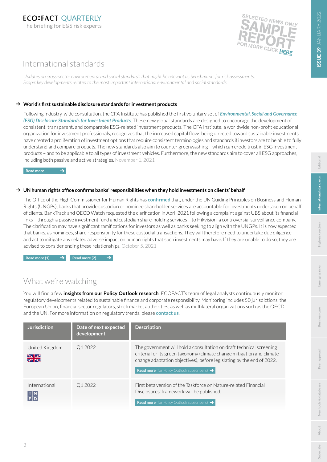

## <span id="page-2-0"></span>International standards

*Updates on cross-sector environmental and social standards that might be relevant as benchmarks for risk assessments. Scope: key developments related to the most important international environmental and social standards.*

## **World's first sustainable disclosure standards for investment products**

Following industry-wide consultation, the CFA Institute has published the first voluntary set of *[Environmental, Social and Governance](https://www.cfainstitute.org/-/media/documents/ESG-standards/Global-ESG-Disclosure-Standards-for-Investment-Products.pdf)  [\(ESG\) Disclosure Standards for Investment Products](https://www.cfainstitute.org/-/media/documents/ESG-standards/Global-ESG-Disclosure-Standards-for-Investment-Products.pdf)*. These new global standards are designed to encourage the development of consistent, transparent, and comparable ESG-related investment products. The CFA Institute, a worldwide non-profit educational organization for investment professionals, recognizes that the increased capital flows being directed toward sustainable investments have created a proliferation of investment options that require consistent terminologies and standards if investors are to be able to fully understand and compare products. The new standards also aim to counter greenwashing – which can erode trust in ESG investment products – and to be applicable to all types of investment vehicles. Furthermore, the new standards aim to cover all ESG approaches, including both passive and active strategies. November 1, 2021

**[Read more](https://www.cfainstitute.org/about/press-releases/2021/cfa-institute-releases-global-esg-disclosure-standards-for-investment-products)**

### → UN human rights office confirms banks' responsibilities when they hold investments on clients' behalf

The Office of the High Commissioner for Human Rights has **[confirmed](https://www.ohchr.org/Documents/Issues/Business/finance-2021-response-nominee-shareholders.pdf)** that, under the UN Guiding Principles on Business and Human Rights (UNGPs), banks that provide custodian or nominee shareholder services are accountable for investments undertaken on behalf of clients. BankTrack and OECD Watch requested the clarification in April 2021 following a complaint against UBS about its financial links – through a passive investment fund and custodian share-holding services – to Hikvision, a controversial surveillance company. The clarification may have significant ramifications for investors as well as banks seeking to align with the UNGPs. It is now expected that banks, as nominees, share responsibility for these custodial transactions. They will therefore need to undertake due diligence and act to mitigate any related adverse impact on human rights that such investments may have. If they are unable to do so, they are advised to consider ending these relationships. October 5, 2021

[Read more \(1\)](https://www.responsible-investor.com/articles/nominee-shareholders-have-responsibilities-for-human-rights-impacts-caused-by-companies-owned-on-behalf-of-clients-says-un)  $\rightarrow$  [Read more \(2\)](https://www.business-humanrights.org/en/latest-news/un-human-rights-office-confirms-banks-have-human-rights-responsibilities-regarding-impacts-of-companies-in-which-they-hold-shares-on-behalf-of-clients/)  $\rightarrow$ 

## What we're watching

You will find a few **insights from our Policy Outlook research**. ECOFACT's team of legal analysts continuously monitor regulatory developments related to sustainable finance and corporate responsibility. Monitoring includes 50 jurisdictions, the European Union, financial sector regulators, stock market authorities, as well as multilateral organizations such as the OECD and the UN. For more information on regulatory trends, please **[contact us](https://www.ecofact.com/policyoutlook/)**.

| <b>Jurisdiction</b>             | Date of next expected<br>development | <b>Description</b>                                                                                                                                                                                                                                                                         |
|---------------------------------|--------------------------------------|--------------------------------------------------------------------------------------------------------------------------------------------------------------------------------------------------------------------------------------------------------------------------------------------|
| United Kingdom<br>$\frac{N}{N}$ | Q1 2022                              | The government will hold a consultation on draft technical screening<br>criteria for its green taxonomy (climate change mitigation and climate<br>change adaptation objectives), before legislating by the end of 2022.<br><b>Read more</b> (for Policy Outlook subscribers) $\rightarrow$ |
| International<br>T N<br>FD      | Q1 2022                              | First beta version of the Taskforce on Nature-related Financial<br>Disclosures' framework will be published.<br><b>Read more</b> (for Policy Outlook subscribers) $\rightarrow$                                                                                                            |

3

**[Business case](#page-7-0)**

Business case

**[Subscribe](#page-11-0)**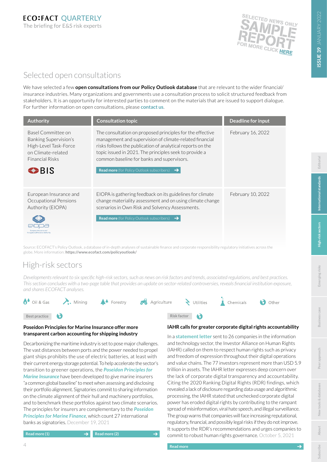

## <span id="page-3-0"></span>Selected open consultations

We have selected a few **open consultations from our Policy Outlook database** that are relevant to the wider financial/ insurance industries. Many organizations and governments use a consultation process to solicit structured feedback from stakeholders. It is an opportunity for interested parties to comment on the materials that are issued to support dialogue. For further information on open consultations, please **[contact us](https://www.ecofact.com/policyoutlook/)**.

| <b>Authority</b>                                                                                                                       | <b>Consultation topic</b>                                                                                                                                                                                                                                                                                                                                        | <b>Deadline for input</b> |
|----------------------------------------------------------------------------------------------------------------------------------------|------------------------------------------------------------------------------------------------------------------------------------------------------------------------------------------------------------------------------------------------------------------------------------------------------------------------------------------------------------------|---------------------------|
| Basel Committee on<br>Banking Supervision's<br>High-Level Task-Force<br>on Climate-related<br><b>Financial Risks</b><br>$\bigodot$ BIS | The consultation on proposed principles for the effective<br>management and supervision of climate-related financial<br>risks follows the publication of analytical reports on the<br>topic issued in 2021. The principles seek to provide a<br>common baseline for banks and supervisors.<br><b>Read more</b> (for Policy Outlook subscribers)<br>$\rightarrow$ | February 16, 2022         |
| European Insurance and<br>Occupational Pensions<br>Authority (EIOPA)<br>Occupational Pensions Authority                                | EIOPA is gathering feedback on its guidelines for climate<br>change materiality assessment and on using climate change<br>scenarios in Own Risk and Solvency Assessments.<br><b>Read more</b> (for Policy Outlook subscribers) $\rightarrow$                                                                                                                     | February 10, 2022         |

Source: ECOFACT's Policy Outlook, a database of in-depth analyses of sustainable finance and corporate responsibility regulatory initiatives across the globe. More information: **<https://www.ecofact.com/policyoutlook/>**

## High-risk sectors

*Developments relevant to six specific high-risk sectors, such as news on risk factors and trends, associated regulations, and best practices. This section concludes with a two-page table that provides an update on sector-related controversies, reveals financial institution exposure, and shares ECOFACT analyses.*



### **Poseidon Principles for Marine Insurance offer more transparent carbon accounting for shipping industry**

Decarbonizing the maritime industry is set to pose major challenges. The vast distances between ports and the power needed to propel giant ships prohibits the use of electric batteries, at least with their current energy storage potential. To help accelerate the sector's transition to greener operations, the *[Poseidon Principles for](https://www.poseidonprinciples.org/insurance/)  [Marine Insurance](https://www.poseidonprinciples.org/insurance/)* have been developed to give marine insurers "a common global baseline" to meet when assessing and disclosing their portfolio alignment. Signatories commit to sharing information on the climate alignment of their hull and machinery portfolios, and to benchmark these portfolios against two climate scenarios. The principles for insurers are complementary to the *[Poseidon](https://www.poseidonprinciples.org/finance/)  [Principles for Marine Finance](https://www.poseidonprinciples.org/finance/)*, which count 27 international banks as signatories. December 19, 2021

#### **[Read more \(1\)](https://www.ft.com/content/51aacc97-8a06-4cf6-9960-507af8afefd4?desktop=true&segmentId=7c8f09b9-9b61-4fbb-9430-9208a9e233c8#myft:notification:daily-email:content) [Read more \(2\)](https://www.poseidonprinciples.org/insurance/news/marine-insurers-adopt-principles-to-decarbonize-shipping/)**

## **IAHR calls for greater corporate digital rights accountability**

In a **[statement letter](https://investorsforhumanrights.org/sites/default/files/attachments/2021-07/2021%20Investor%20Statement%20on%20Corporate%20Accountability%20for%20Digital%20Rights%20v%2007092021_0.pdf)** sent to 26 companies in the information and technology sector, the Investor Alliance on Human Rights (IAHR) called on them to respect human rights such as privacy and freedom of expression throughout their digital operations and value chains. The 77 investors represent more than USD 5.9 trillion in assets. The IAHR letter expresses deep concern over the lack of corporate digital transparency and accountability. Citing the 2020 Ranking Digital Rights (RDR) findings, which revealed a lack of disclosure regarding data usage and algorithmic processing, the IAHR stated that unchecked corporate digital power has eroded digital rights by contributing to the rampant spread of misinformation, viral hate speech, and illegal surveillance. The group warns that companies will face increasing reputational, regulatory, financial, and possibly legal risks if they do not improve. It supports the RDR's recommendations and urges companies to commit to robust human rights governance. October 5, 2021

peer

**[Business case](#page-7-0)**

**[Subscribe](#page-11-0)**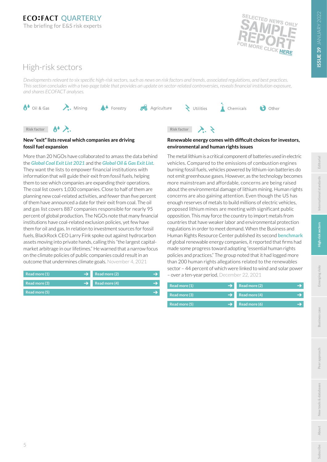**[Business case](#page-7-0)**



 $\bigodot$  Other

## High-risk sectors

Risk factor **A** 

**fossil fuel expansion**

**[Read more \(1\)](https://coalexit.org/sites/default/files/download_public/Media%20briefing_GCEL_engl_07102021_update.pdf)**

*Developments relevant to six specific high-risk sectors, such as news on risk factors and trends, associated regulations, and best practices. This section concludes with a two-page table that provides an update on sector-related controversies, reveals financial institution exposure, and shares ECOFACT analyses.*



More than 20 NGOs have collaborated to amass the data behind the *[Global Coal Exit List 2021](https://coalexit.org/)* and the *[Global Oil & Gas Exit List](https://gogel.org/)*. They want the lists to empower financial institutions with information that will guide their exit from fossil fuels, helping them to see which companies are expanding their operations. The coal list covers 1,030 companies. Close to half of them are planning new coal-related activities, and fewer than five percent of them have announced a date for their exit from coal. The oil and gas list covers 887 companies responsible for nearly 95 percent of global production. The NGOs note that many financial institutions have coal-related exclusion policies, yet few have them for oil and gas. In relation to investment sources for fossil fuels, BlackRock CEO Larry Fink spoke out against hydrocarbon assets moving into private hands, calling this "the largest capitalmarket arbitrage in our lifetimes." He warned that a narrow focus on the climate policies of public companies could result in an outcome that undermines climate goals. November 4, 2021

**New "exit" lists reveal which companies are driving** 

Agriculture

Risk factor

 $\sum$  Utilities













**Renewable energy comes with difficult choices for investors,** 

**environmental and human rights issues** The metal lithium is a critical component of batteries used in electric

vehicles. Compared to the emissions of combustion engines burning fossil fuels, vehicles powered by lithium-ion batteries do not emit greenhouse gases. However, as the technology becomes more mainstream and affordable, concerns are being raised about the environmental damage of lithium mining. Human rights concerns are also gaining attention. Even though the US has enough reserves of metals to build millions of electric vehicles, proposed lithium mines are meeting with significant public opposition. This may force the country to import metals from countries that have weaker labor and environmental protection regulations in order to meet demand. When the Business and Human Rights Resource Center published its second **[benchmark](https://media.business-humanrights.org/media/documents/2021_Renewable_Energy_Benchmark_v4.pdf)** of global renewable energy companies, it reported that firms had made some progress toward adopting "essential human rights policies and practices." The group noted that it had logged more than 200 human rights allegations related to the renewables sector – 44 percent of which were linked to wind and solar power

– over a ten-year period. December 22, 2021

| Read more (1)<br>$\rightarrow$ | Read more (2)               |
|--------------------------------|-----------------------------|
| Read more (3)                  | $\rightarrow$ Read more (4) |
| Read more (5)                  | Read more (6)               |

5



**[Read more \(5\)](https://www.bnnbloomberg.ca/larry-fink-sounds-greenwashing-alarm-as-fossil-fuels-move-into-private-hands-1.1675765)  [Read more \(3\)](https://www.bnnbloomberg.ca/coal-industry-is-getting-ample-funding-to-pile-into-new-plants-1.1662986) [Read more \(4\)](https://reclaimfinance.org/site/en/2021/11/04/ngos-release-the-first-global-oil-gas-exit-list/)**

**[Read more \(2\)](https://foe.org/news/gas-oil-exit-list-cop/)**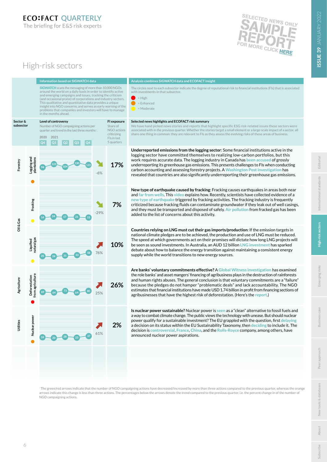

## High-risk sectors

[SIGWATCH](https://www.sigwatch.com/) scans the messaging of more than 10,000 NGOs around the world on a daily basis in order to identify active and emerging campaigns and issues, tracking the criticism (and occasional praise) of corporations and industry sectors. This qualitative and quantitative data provides a unique insight into NGO concerns, and serves as early warning of the problems that companies and investors will have to mana in the months ahead.



#### **Analysis combines SIGWATCH data and ECOFACT insight**

The circles next to each subsector indicate the degree of reputational risk to financial institutions (FIs) that is associated  $\alpha$ ith investments in that subsector

 $=$  High = Enhanced

= Moderate

#### **Selected news highlights and ECOFACT risk summary**

We have hand picked news stories and reports that highlight specific ESG risk-related issues these sectors were associated with in the previous quarter. Whether the stories target a small element or a large-scale impact of a sector, all share one thing in common: they are relevant to FIs as they assess the evolving risks of these areas of business.

**Underreported emissions from the logging sector**: Some financial institutions active in the logging sector have committed themselves to realizing low-carbon portfolios, but this work requires accurate data. The logging industry in Canada has **[been accused](https://www.nrdc.org/resources/logging-loophole-how-logging-industrys-unregulated-carbon-emissions-undermine-canadas)** of grossly underreporting its greenhouse gas emissions. This presents challenges to FIs when conducting carbon accounting and assessing forestry projects. A **[Washington Post investigation](https://www.washingtonpost.com/climate-environment/interactive/2021/greenhouse-gas-emissions-pledges-data/)** has revealed that countries are also significantly underreporting their greenhouse gas emissions.

**New type of earthquake caused by fracking**: Fracking causes earthquakes in areas both near and **[far from wells](https://theconversation.com/fracking-can-cause-earthquakes-tens-of-kilometres-away-new-research-116539)**. This **[video](https://www.youtube.com/watch?v=RVp3z7itKKo&feature=youtu.be)** explains how. Recently, scientists have collected evidence of a **[new type of earthquake](https://www.sciencealert.com/scientists-find-evidence-that-oil-gas-extraction-triggers-new-type-of-slow-rupture-earthquake)** triggered by fracking activities. The fracking industry is frequently criticized because fracking fluids can contaminate groundwater if they leak out of well casings, and they must be transported and disposed of safely. **[Air pollution](https://www.sierraclub.org/press-releases/2021/12/air-board-denies-key-permit-for-mountain-valley-pipeline-dealing-critical)** from fracked gas has been added to the list of concerns about this activity. **<sup>14</sup> <sup>17</sup> <sup>15</sup> <sup>24</sup> <sup>21</sup>**

**Countries relying on LNG must cut their gas imports/production**: If the emission targets in national climate pledges are to be achieved, the production and use of LNG must be reduced. The speed at which governments act on their promises will dictate how long LNG projects will be seen as sound investments. In Australia, an AUD 12 billion **[LNG investment](https://www.bnnbloomberg.ca/a-12-billion-gas-project-is-sparking-a-new-climate-debate-1.1685806)** has sparked debate about how to balance the energy transition against maintaining a consistent energy supply while the world transitions to new energy sources.

**Are banks' voluntary commitments effective?** A **[Global Witness investigation](https://www.globalwitness.org/en/campaigns/forests/deforestation-dividends/)** has examined the role banks' and asset mangers' financing of agribusiness plays in the destruction of rainforests and human rights abuses. The general conclusion is that voluntary commitments are a "failure" because the pledges do not hamper "problematic deals" and lack accountability. The NGO estimates that financial institutions have made USD 1.74 billion in profit from financing sections of agribusinesses that have the highest risk of deforestation. (Here's the **[report](https://www.globalwitness.org/documents/20209/Deforestation_Dividends_-_October_2021.pdf)**.) **<sup>69</sup> <sup>64</sup> <sup>80</sup> <sup>64</sup> <sup>73</sup>**

**Is nuclear power sustainable?** Nuclear power is **[seen](https://insideclimatenews.org/news/03112021/nuclear-energy-washington-state-climate-change/)** as a "clean" alternative to fossil fuels and a way to combat climate change. The public views the technology with unease. But should nuclear power qualify for a sustainable investment? The EU grappled with the question, first **[delaying](https://www.reuters.com/article/eu-regulation-finance-idAFL1N2SS1ZO)**  a decision on its status within the EU Sustainability Taxonomy, then **[deciding](https://www.spglobal.com/marketintelligence/en/news-insights/latest-news-headlines/it-s-about-trust-eu-green-taxonomy-scrutinized-over-inclusion-of-nuclear-gas-68279835#:~:text=Nuclear%20power%20has%20been%20included%20in%20the%20EU)** to include it. The decision is **[controversial](https://www.politico.eu/article/eu-nuclear-energy-gas-green-climate-technology/)**. **[France](https://www.reuters.com/business/energy/macron-says-france-will-build-more-nuclear-energy-reactors-2021-11-09/)**, **[China](https://www.bnnbloomberg.ca/china-s-climate-goals-hinge-on-a-440-billion-nuclear-buildout-1.1675953)**, and the **[Rolls-Royce](https://www.theguardian.com/business/2021/nov/08/rolls-royce-secures-450m-for-mini-nuclear-reactors-venture)** company, among others, have announced nuclear power aspirations. **<sup>24</sup> <sup>23</sup> <sup>37</sup> <sup>20</sup> <sup>28</sup>**

 $\pm$  The green/red arrows indicate that the number of NGO campaigning actions have decreased/increased by more than three actions compared to the previous quarter, whereas the orange arrows indicate this change is less than three actions. The percentages below the arrows denote the trend compared to the previous quarter, i.e. the percent change in of the number of NGO campaigning actions.

Inter

**[Business case](#page-7-0)**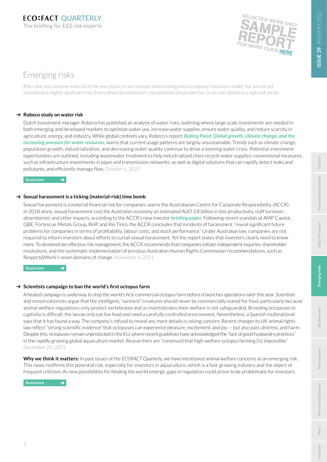

## <span id="page-6-0"></span>Emerging risks

*Risks that may become material in the near future or are relevant when looking into a company's business model, but are not yet considered as highly significant risks from a financial institution's reputational risk perspective, or are not related to a high-risk sector.*

## **→ Robeco study on water risk**

Dutch investment manager Robeco has published an analysis of water risks, outlining where large-scale investments are needed in both emerging and developed markets to optimize water use, increase water supplies, ensure water quality, and reduce scarcity in agriculture, energy, and industry. While global contexts vary, Robeco's report, *[Boiling Point: Global growth, climate change, and the](https://www.robeco.com/docm/docu-water-study-media.pdf)  [increasing pressure for water resources](https://www.robeco.com/docm/docu-water-study-media.pdf)*, warns that current usage patterns are largely unsustainable. Trends such as climate change, population growth, industrialization, and decreasing water quality continue to drive a looming water crisis. Potential investment opportunities are outlined, including wastewater treatment to help industrialized cities recycle water supplies; conventional measures, such as infrastructure investments in pipes and transmission networks; as well as digital solutions that can rapidly detect leaks and pollutants, and efficiently manage flow. October 6, 2021

**[Read more](https://www.robeco.com/en/insights/2021/10/historic-fund-launches-a-new-water-study.html)** 

## $\rightarrow$  **Sexual harassment is a ticking (material-risk) time bomb**

 $\rightarrow$ 

Sexual harassment is a material financial risk for companies, warns the Australasian Centre for Corporate Responsibility (ACCR). In 2018 alone, sexual harassment cost the Australian economy an estimated AUD 3.8 billion in lost productivity, staff turnover, absenteeism, and other impacts, according to the ACCR's new investor **[briefing paper](https://www.accr.org.au/downloads/investor-briefing-2021-sexual-harassment-as-material-risk-final.pdf)**. Following recent scandals at AMP Capital, QBE, Fortescue Metals Group, BHP, and Rio Tinto, the ACCR concludes that incidents of harassment "reveal significant future problems for companies in terms of profitability, labour costs, and stock performance." Under Australian law, companies are not required to inform investors about efforts to curtail sexual harassment. Yet the report states that investors clearly need to know more. To demonstrate effective risk management, the ACCR recommends that companies initiate independent inquiries, shareholder resolutions, and the systematic implementation of previous Australian Human Rights Commission recommendations, such as Respect@Work's seven domains of change. November 4, 2021

**[Read more](https://www.accr.org.au/research/investor-briefing-sexual-harassment-as-material-risk/)** 

## → Scientists campaign to ban the world's first octopus farm

A heated campaign is underway to stop the world's first commercial octopus farm before it launches operations later this year. Scientists and conservationists argue that the intelligent, "sentient" creatures should never be commercially reared for food, particularly because animal welfare regulations only protect vertebrates and as invertebrates their welfare is not safeguarded. Breeding octopuses in captivity is difficult; the larvae only eat live food and need a carefully controlled environment. Nevertheless, a Spanish multinational says that it has found a way. The company's refusal to reveal any more details is raising concern. Recent changes to UK animal rights law reflect "strong scientific evidence" that octopuses can experience pleasure, excitement, and joy — but also pain, distress, and harm. Despite this, octopuses remain unprotected in the EU, where recent guidelines have acknowledged the "lack of good husbandry practices" in the rapidly growing global aquaculture market. Researchers are "convinced that high-welfare octopus farming [is] impossible." December 20, 2021

**Why we think it matters:** In past issues of the *ECOFACT Quarterly*, we have mentioned animal welfare concerns as an emerging risk. This news reaffirms this potential risk, especially for investors in aquaculture, which is a fast-growing industry and the object of frequent criticism. As new possibilities for feeding the world emerge, gaps in regulation could prove to be problematic for investors.

**[Read more](https://www.bbc.com/news/science-environment-59667645)**

**[Editorial](#page-1-0)**

**[International standards](#page-2-0)**

International standards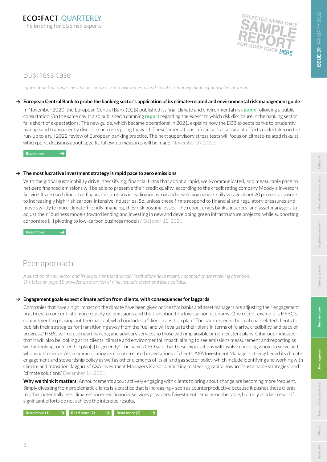

## <span id="page-7-0"></span>Business case

*Information that underlines the business case for environmental and social risk management in financial institutions.*

## **European Central Bank to probe the banking sector's application of its climate-related and environmental risk management guide**

In November 2020, the European Central Bank (ECB) published its final climate and environmental risk **[guide](https://www.bankingsupervision.europa.eu/ecb/pub/pdf/ssm.202011finalguideonclimate-relatedandenvironmentalrisks~58213f6564.en.pdf)** following a public consultation. On the same day, it also published a damning **[report](https://www.bankingsupervision.europa.eu/ecb/pub/pdf/ssm.ecbreportinstitutionsclimaterelatedenvironmentalriskdisclosures202011~e8e2ad20f6.en.pdf)** regarding the extent to which risk disclosure in the banking sector falls short of expectations. The new guide, which became operational in 2021, explains how the ECB expects banks to prudently manage and transparently disclose such risks going forward. These expectations inform self-assessment efforts undertaken in the run-up to a full 2022 review of European banking practice. The next supervisory stress tests will focus on climate-related risks, at which point decisions about specific follow-up measures will be made. November 27, 2020

[Read more](https://www.bankingsupervision.europa.eu/press/pr/date/2020/html/ssm.pr201127~5642b6e68d.en.html) **<sup>→</sup>** 

### **The most lucrative investment strategy is rapid pace to zero emissions**

With the global sustainability drive intensifying, financial firms that adopt a rapid, well-communicated, and measurable pace to net-zero financed emissions will be able to preserve their credit quality, according to the credit rating company Moody's Investors Service. Its research finds that financial institutions in leading industrial and developing nations still average about 20 percent exposure to increasingly high-risk carbon-intensive industries. So, unless these firms respond to financial and regulatory pressures and move swiftly to more climate-friendly financing, they risk posting losses. The report urges banks, insurers, and asset managers to adjust their "business models toward lending and investing in new and developing green infrastructure projects, while supporting corporates […] pivoting to low-carbon business models." October 12, 2021

**[Read more](https://www.moodys.com/research/Moodys-Financial-firms-that-take-rapid-predictable-pace-to-zero--PBC_1305598)** 

## Peer approach

*A selection of new sector and issue policies that financial institutions have recently adopted or are receiving attention. The table on page 18 provides an overview of nine insurer's sector and issue policies.* 

## **Engagement goals expect climate action from clients, with consequences for laggards**

Companies that have a high impact on the climate have been given notice that banks and asset managers are adjusting their engagement practices to concentrate more closely on emissions and the transition to a low-carbon economy. One recent example is HSBC's commitment to phasing out thermal coal, which includes a "client transition plan." The bank expects thermal coal-related clients to publish their strategies for transitioning away from the fuel and will evaluate their plans in terms of "clarity, credibility, and pace of progress." HSBC will refuse new financing and advisory services to those with implausible or non-existent plans. Citigroup indicated that it will also be looking at its clients' climate and environmental impact, aiming to see emissions measurement and reporting as well as looking for "credible plan[s] to greenify." The bank's CEO said that these expectations will involve choosing whom to serve and whom not to serve. Also communicating its climate-related expectations of clients, AXA Investment Managers strengthened its climate engagement and stewardship policy as well as other elements of its oil and gas sector policy, which include identifying and working with climate and transition "laggards." AXA Investment Managers is also committing to steering capital toward "sustainable strategies" and "climate solutions." December 14, 2021

**Why we think it matters:** Announcements about actively engaging with clients to bring about change are becoming more frequent. Simply divesting from problematic clients is a practice that is increasingly seen as counterproductive because it pushes these clients to other potentially less climate-concerned financial services providers. Divestment remains on the table, but only as a last resort if significant efforts do not achieve the intended results.

 $\text{Read more (1)} \rightarrow \text{Read more (2)} \rightarrow \text{Read more (3)}$  $\text{Read more (1)} \rightarrow \text{Read more (2)} \rightarrow \text{Read more (3)}$  $\text{Read more (1)} \rightarrow \text{Read more (2)} \rightarrow \text{Read more (3)}$  $\text{Read more (1)} \rightarrow \text{Read more (2)} \rightarrow \text{Read more (3)}$  $\text{Read more (1)} \rightarrow \text{Read more (2)} \rightarrow \text{Read more (3)}$  $\text{Read more (1)} \rightarrow \text{Read more (2)} \rightarrow \text{Read more (3)}$  $\text{Read more (1)} \rightarrow \text{Read more (2)} \rightarrow \text{Read more (3)}$ 

**Business case**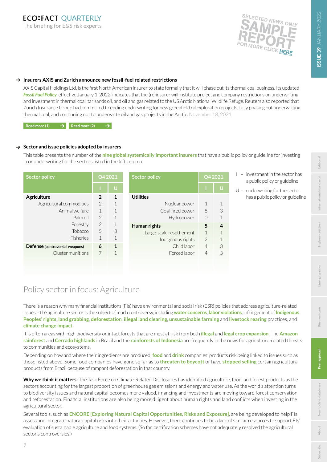

**Editoria** 

**[International standards](#page-2-0)**

Inter

sectors

Emerging risks

**Business** case

Peer approach

ational standards

## **Insurers AXIS and Zurich announce new fossil-fuel related restrictions**

AXIS Capital Holdings Ltd. is the first North American insurer to state formally that it will phase out its thermal coal business. Its updated **[Fossil Fuel Policy](https://www.axiscapital.com/who-we-are/corporate-citizenship/fossil-fuel-policy)**, effective January 1, 2022, indicates that the (re)insurer will institute project and company restrictions on underwriting and investment in thermal coal, tar sands oil, and oil and gas related to the US Arctic National Wildlife Refuge. Reuters also reported that Zurich Insurance Group had committed to ending underwriting for new greenfield oil exploration projects, fully phasing out underwriting thermal coal, and continuing not to underwrite oil and gas projects in the Arctic. November 18, 2021

**[Read more \(1\)](https://investor.axiscapital.com/press-releases/news-details/2021/AXIS-Further-Strengthens-Fossil-Fuel-Underwriting-and-Investment-Policy-to-Support-Low-Carbon-Economy-Transition/default.aspx) [Read more \(2\)](https://www.reuters.com/article/zurich-ins-group-investors-idUKKBN2I30IE)**

## → Sector and issue policies adopted by insurers

This table presents the number of the **[nine global systemically important insurers](https://www.fsb.org/wp-content/uploads/2016-list-of-global-systemically-important-insurers-G-SIIs.pdf)** that have a public policy or guideline for investing in or underwriting for the sectors listed in the left column.

| Q4 2021<br><b>Sector policy</b> |                | <b>Sector policy</b> | Q4 2021                  |                |              |
|---------------------------------|----------------|----------------------|--------------------------|----------------|--------------|
|                                 |                | U                    |                          |                | Ū            |
| Agriculture                     | $\overline{2}$ | $\mathbf{1}$         | <b>Utilities</b>         |                |              |
| Agricultural commodities        | $\mathcal{P}$  | 1                    | Nuclear power            | $\mathcal{L}$  | 1            |
| Animal welfare                  | $\mathbf{1}$   | 1                    | Coal-fired power         | 8              | 3            |
| Palm oil                        | $\mathcal{P}$  | 1                    | Hydropower               | $\Omega$       | $\mathbf{1}$ |
| Forestry                        | $\mathcal{P}$  | $\mathbf 1$          | Human rights             | 5              | 4            |
| Tobacco                         | 5              | 3                    | Large-scale resettlement | $\mathbf{1}$   | $\mathbf 1$  |
| <b>Fisheries</b>                | 1              | 1                    | Indigenous rights        | $\overline{2}$ | $\mathbf 1$  |
| Defense (controversial weapons) | 6              | $\mathbf{1}$         | Child labor              | $\overline{4}$ | 3            |
| Cluster munitions               | 7              | $\mathbf 1$          | Forced labor             | $\overline{4}$ | 3            |
|                                 |                |                      |                          |                |              |
|                                 |                |                      |                          |                |              |

- $I =$  investment in the sector has a public policy or guideline
- $U =$  underwriting for the sector has a public policy or guideline

## Policy sector in focus: Agriculture

There is a reason why many financial institutions (FIs) have environmental and social risk (ESR) policies that address agriculture-related issues – the agriculture sector is the subject of much controversy, including **[water concerns](https://reliefweb.int/report/world/state-world-s-land-and-water-resources-food-and-agriculture-systems-breaking-point)**, **[labor violations](https://www.independent.co.uk/world/nestle-mars-hersey-cocoa-child-slaves-b1948199.html)**, infringement of **[Indigenous](https://www.greenpeace.org/international/press-release/50164/meat-soy-deforestation-karipuna-amazon-brazil/) [Peoples' rights](https://www.greenpeace.org/international/press-release/50164/meat-soy-deforestation-karipuna-amazon-brazil/)**, **[land grabbing](https://www.maplecroft.com/insights/analysis/palm-oil-cobalt-highest-risk-for-commodity-linked-land-grabs/)**, **[deforestation](https://www.bbc.co.uk/news/world-latin-america-59341770)**, **[illegal land clearing](https://validate.perfdrive.com/?ssa=667adf61-5b25-4773-8e41-a87469409a00&ssb=49375258861&ssc=https%3A%2F%2Fiopscience.iop.org%2Farticle%2F10.1088%2F1755-1315%2F905%2F1%2F012141%2Fpdf&ssi=1c7dbb57-8427-47a5-99b1-67ca5b2da8ed&ssk=support@shieldsquare.com&ssm=39669199462125240109672615696279&ssn=fa6d9e416c2181843a9dc310400e528f45c8470910fb-9af6-463f-958537&sso=cfb76887-6ece535d3a9bb36efd526f0d4bda8269c581c054d6c08fd9&ssp=89370564041643032662164309401388505&ssq=40203212773819336534327738588761846353869&ssr=OTIuMy4xMjUuMjY=&sst=Mozilla/5.0%20(Macintosh;%20Intel%20Mac%20OS%20X%2010_15_7)%20AppleWebKit/537.36%20(KHTML,%20like%20Gecko)%20Chrome/97.0.4692.71%20Safari/537.36&ssv=&ssw=&ssx=W10=)**, **[unsustainable farming](https://e360.yale.edu/features/with-traditional-farms-withering-why-is-brazil-running-dry)** and **[livestock rearing](https://news.mongabay.com/2021/12/rampant-forest-destruction-wracks-reserve-as-cattle-ranching-advances-in-brazilian-amazon/)** practices, and **[climate change impact](https://www.spott.org/news/zsl-report-finds-many-palm-oil-companies-failing-to-meet-2020-zero-deforestation-targets/)**.

It is often areas with high biodiversity or intact forests that are most at risk from both **[illegal](https://www.greenpeace.org/international/press-release/50070/inaction-over-illegal-palm-oil-in-indonesias-megadiverse-forest-estate-jeopardises-people-and-planet/)** and **[legal crop expansion](https://news.mongabay.com/2021/12/forests-will-disappear-again-activists-warn-as-indonesia-ends-plantation-freeze/)**. The **[Amazon](https://www.theguardian.com/environment/2021/nov/18/deforestation-in-brazils-amazon-rises-by-more-than-a-fifth-in-a-year)  [rainforest](https://www.theguardian.com/environment/2021/nov/18/deforestation-in-brazils-amazon-rises-by-more-than-a-fifth-in-a-year)** and **[Cerrado highlands](https://www.theguardian.com/world/2022/jan/03/brazil-deforestation-cerrado-scientists-alarm)** in Brazil and the **[rainforests of Indonesia](https://phys.org/news/2021-11-deforestation-increasingly-deadly-indonesia.html)** are frequently in the news for agriculture-related threats to communities and ecosystems.

Depending on how and where their ingredients are produced, **[food](https://www.globalwitness.org/en/campaigns/forests/true-price-palm-oil/#global-buyers)** and **[drink](https://www.business-humanrights.org/en/from-us/briefings/trouble-brewing-the-need-for-transparency-in-tea-supply-chains/)** companies' products risk being linked to issues such as those listed above. Some food companies have gone so far as to **[threaten to boycott](https://edition.cnn.com/2021/05/05/business/brazil-amazon-boycott/index.html)** or have **[stopped selling](https://www.reuters.com/markets/deals/european-supermarkets-stop-selling-brazil-beef-over-deforestation-links-2021-12-15/)** certain agricultural products from Brazil because of rampant deforestation in that country.

**Why we think it matters:** The Task Force on Climate-Related Disclosures has identified agriculture, food, and forest products as the sectors accounting for the largest proportion of greenhouse gas emissions and energy and water use. As the world's attention turns to biodiversity issues and natural capital becomes more valued, financing and investments are moving toward forest conservation and reforestation. Financial institutions are also being more diligent about human rights and land conflicts when investing in the agricultural sector.

Several tools, such as **[ENCORE \[Exploring Natural Capital Opportunities, Risks and Exposure\]](https://encore.naturalcapital.finance/en/about)**, are being developed to help FIs assess and integrate natural capital risks into their activities. However, there continues to be a lack of similar resources to support FIs' evaluation of sustainable agriculture and food systems. (So far, certification schemes have not adequately resolved the agricultural sector's controversies.)

9

**[About](#page-10-0)**

**[New tools & databases](#page-9-0)**

New tools & databases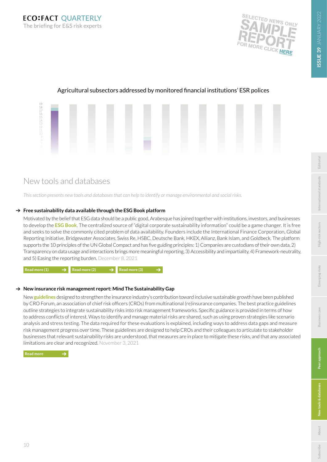19<br>18<br>17<br>16<br>15<br>14<br>13<br>12<br>11<br>10



## <span id="page-9-0"></span>Agricultural subsectors addressed by monitored financial institutions' ESR polices

## Agricultural<br>Agricultural commoditions<br>Angli<sup>ng</sup> trading and intervals<br>Angli<sup>ng</sup> New tools and databases

to identify or manage environme<br> *This section presents new tools and databases that can help to identify or manage environmental and social risks.*

## Free sustainability data available through the ESG Book platform

Motivated by the belief that ESG data should be a public good, Arabesque has joined together with institutions, investors, and businesses to develop the **[ESG Book](https://www.esgbook.com/)**. The centralized source of "digital corporate sustainability information" could be a game changer. It is free and seeks to solve the commonly cited problem of data availability. Founders include the International Finance Corporation, Global Reporting Initiative, Bridgewater Associates, Swiss Re, HSBC, Deutsche Bank, HKEX, Allianz, Bank Islam, and Goldbeck. The platform supports the 10 principles of the UN Global Compact and has five guiding principles: 1) Companies are custodians of their own data, 2) Transparency on data usage and interactions brings more meaningful reporting, 3) Accessibility and impartiality, 4) Framework-neutrality, and 5) Easing the reporting burden. December 8, 2021

 $\left| \text{Read more (1)} \right|$   $\rightarrow$  [Read more \(2\)](https://www.wbcsd.org/Overview/News-Insights/Member-spotlight/Arabesque-develops-ESG-Book-a-new-central-source-for-accessible-and-digital-corporate-sustainability-information)  $\rightarrow$  [Read more \(3\)](https://www.reuters.com/business/cop/esg-book-aims-disrupt-sustainability-sector-with-free-data-2021-12-01/)

## → New insurance risk management report: Mind The Sustainability Gap

New **[guidelines](https://www.thecroforum.org/wp-content/uploads/2021/11/CROF-Sustainability-WG_Mind-the-Sustainability-Gap.pdf)** designed to strengthen the insurance industry's contribution toward inclusive sustainable growth have been published by CRO Forum, an association of chief risk officers (CROs) from multinational (re)insurance companies. The best practice guidelines outline strategies to integrate sustainability risks into risk management frameworks. Specific guidance is provided in terms of how to address conflicts of interest. Ways to identify and manage material risks are shared, such as using proven strategies like scenario analysis and stress testing. The data required for these evaluations is explained, including ways to address data gaps and measure risk management progress over time. These guidelines are designed to help CROs and their colleagues to articulate to stakeholder businesses that relevant sustainability risks are understood, that measures are in place to mitigate these risks, and that any associated limitations are clear and recognized. November 3, 2021

**[About](#page-10-0)**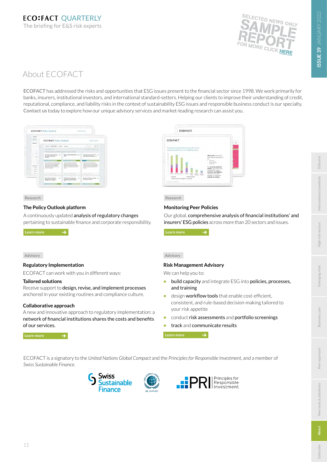

# SSUE 39 JANUARY 2022 **ISSUE 39** JANUARY 2022

## <span id="page-10-0"></span>About ECOFACT

**ECOFACT** has addressed the risks and opportunities that ESG issues present to the financial sector since 1998. We work primarily for banks, insurers, institutional investors, and international standard-setters. Helping our clients to improve their understanding of credit, reputational, compliance, and liability risks in the context of sustainability ESG issues and responsible business conduct is our specialty. **[Contact us](mailto:info%40ecofact.com?subject=)** today to explore how our unique advisory services and market-leading research can assist you.



#### **Research**

#### **The Policy Outlook platform**

A continuously updated analysis of regulatory changes pertaining to sustainable finance and corporate responsibility.

 **[Learn more](https://www.ecofact.com/policyoutlook/)** 

#### **Advisory**

#### **Regulatory Implementation**

ECOFACT can work with you in different ways:

#### **Tailored solutions**

Receive support to design, revise, and implement processes anchored in your existing routines and compliance culture.

#### **Collaborative approach**

A new and innovative approach to regulatory implementation: a network of financial institutions shares the costs and benefits of our services.

 **[Learn more](https://www.ecofact.com/regulatory-implementation/) [Learn more](https://www.ecofact.com/assess/)** 

# ECO:FACT ECO:FACT

Our global, comprehensive analysis of financial institutions' and insurers' ESG policies across more than 20 sectors and issues.



#### **Advisory**

#### **Risk Management Advisory**

We can help you to:

- **•** build capacity and integrate ESG into policies, processes, and training
- **•** design workflow tools that enable cost-efficient, consistent, and rule-based decision-making tailored to your risk appetite
- **•** conduct risk assessments and portfolio screenings
- **•** track and communicate results

 $\rightarrow$ 

ECOFACT is a signatory to the *United Nations Global Compact* and the *Principles for Responsible Investment,* and a member of *Swiss Sustainable Finance.*